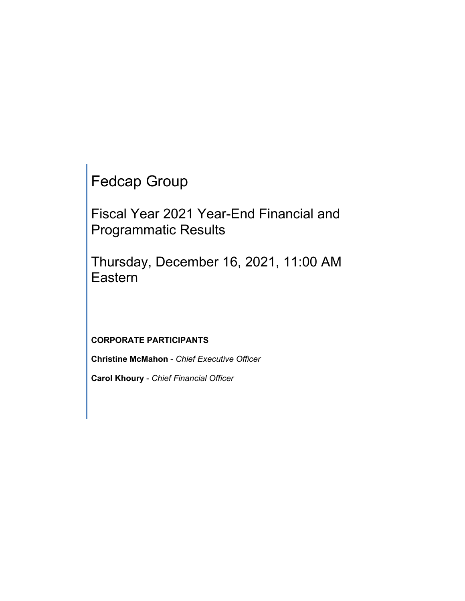Fedcap Group

Fiscal Year 2021 Year-End Financial and Programmatic Results

Thursday, December 16, 2021, 11:00 AM Eastern

# **CORPORATE PARTICIPANTS**

**Christine McMahon** - *Chief Executive Officer*

**Carol Khoury** - *Chief Financial Officer*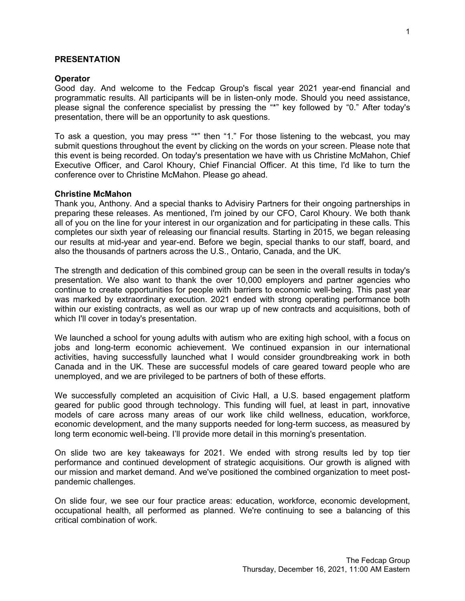#### **PRESENTATION**

#### **Operator**

Good day. And welcome to the Fedcap Group's fiscal year 2021 year-end financial and programmatic results. All participants will be in listen-only mode. Should you need assistance, please signal the conference specialist by pressing the "\*" key followed by "0." After today's presentation, there will be an opportunity to ask questions.

To ask a question, you may press "\*" then "1." For those listening to the webcast, you may submit questions throughout the event by clicking on the words on your screen. Please note that this event is being recorded. On today's presentation we have with us Christine McMahon, Chief Executive Officer, and Carol Khoury, Chief Financial Officer. At this time, I'd like to turn the conference over to Christine McMahon. Please go ahead.

#### **Christine McMahon**

Thank you, Anthony. And a special thanks to Advisiry Partners for their ongoing partnerships in preparing these releases. As mentioned, I'm joined by our CFO, Carol Khoury. We both thank all of you on the line for your interest in our organization and for participating in these calls. This completes our sixth year of releasing our financial results. Starting in 2015, we began releasing our results at mid-year and year-end. Before we begin, special thanks to our staff, board, and also the thousands of partners across the U.S., Ontario, Canada, and the UK.

The strength and dedication of this combined group can be seen in the overall results in today's presentation. We also want to thank the over 10,000 employers and partner agencies who continue to create opportunities for people with barriers to economic well-being. This past year was marked by extraordinary execution. 2021 ended with strong operating performance both within our existing contracts, as well as our wrap up of new contracts and acquisitions, both of which I'll cover in today's presentation.

We launched a school for young adults with autism who are exiting high school, with a focus on jobs and long-term economic achievement. We continued expansion in our international activities, having successfully launched what I would consider groundbreaking work in both Canada and in the UK. These are successful models of care geared toward people who are unemployed, and we are privileged to be partners of both of these efforts.

We successfully completed an acquisition of Civic Hall, a U.S. based engagement platform geared for public good through technology. This funding will fuel, at least in part, innovative models of care across many areas of our work like child wellness, education, workforce, economic development, and the many supports needed for long-term success, as measured by long term economic well-being. I'll provide more detail in this morning's presentation.

On slide two are key takeaways for 2021. We ended with strong results led by top tier performance and continued development of strategic acquisitions. Our growth is aligned with our mission and market demand. And we've positioned the combined organization to meet postpandemic challenges.

On slide four, we see our four practice areas: education, workforce, economic development, occupational health, all performed as planned. We're continuing to see a balancing of this critical combination of work.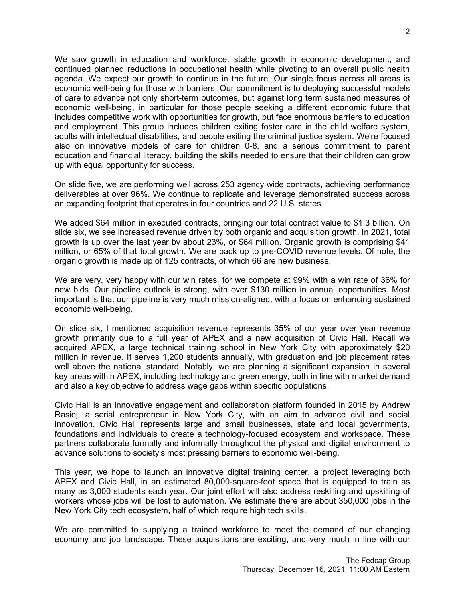We saw growth in education and workforce, stable growth in economic development, and continued planned reductions in occupational health while pivoting to an overall public health agenda. We expect our growth to continue in the future. Our single focus across all areas is economic well-being for those with barriers. Our commitment is to deploying successful models of care to advance not only short-term outcomes, but against long term sustained measures of economic well-being, in particular for those people seeking a different economic future that includes competitive work with opportunities for growth, but face enormous barriers to education and employment. This group includes children exiting foster care in the child welfare system, adults with intellectual disabilities, and people exiting the criminal justice system. We're focused also on innovative models of care for children 0-8, and a serious commitment to parent education and financial literacy, building the skills needed to ensure that their children can grow up with equal opportunity for success.

On slide five, we are performing well across 253 agency wide contracts, achieving performance deliverables at over 96%. We continue to replicate and leverage demonstrated success across an expanding footprint that operates in four countries and 22 U.S. states.

We added \$64 million in executed contracts, bringing our total contract value to \$1.3 billion. On slide six, we see increased revenue driven by both organic and acquisition growth. In 2021, total growth is up over the last year by about 23%, or \$64 million. Organic growth is comprising \$41 million, or 65% of that total growth. We are back up to pre-COVID revenue levels. Of note, the organic growth is made up of 125 contracts, of which 66 are new business.

We are very, very happy with our win rates, for we compete at 99% with a win rate of 36% for new bids. Our pipeline outlook is strong, with over \$130 million in annual opportunities. Most important is that our pipeline is very much mission-aligned, with a focus on enhancing sustained economic well-being.

On slide six, I mentioned acquisition revenue represents 35% of our year over year revenue growth primarily due to a full year of APEX and a new acquisition of Civic Hall. Recall we acquired APEX, a large technical training school in New York City with approximately \$20 million in revenue. It serves 1,200 students annually, with graduation and job placement rates well above the national standard. Notably, we are planning a significant expansion in several key areas within APEX, including technology and green energy, both in line with market demand and also a key objective to address wage gaps within specific populations.

Civic Hall is an innovative engagement and collaboration platform founded in 2015 by Andrew Rasiej, a serial entrepreneur in New York City, with an aim to advance civil and social innovation. Civic Hall represents large and small businesses, state and local governments, foundations and individuals to create a technology-focused ecosystem and workspace. These partners collaborate formally and informally throughout the physical and digital environment to advance solutions to society's most pressing barriers to economic well-being.

This year, we hope to launch an innovative digital training center, a project leveraging both APEX and Civic Hall, in an estimated 80,000-square-foot space that is equipped to train as many as 3,000 students each year. Our joint effort will also address reskilling and upskilling of workers whose jobs will be lost to automation. We estimate there are about 350,000 jobs in the New York City tech ecosystem, half of which require high tech skills.

We are committed to supplying a trained workforce to meet the demand of our changing economy and job landscape. These acquisitions are exciting, and very much in line with our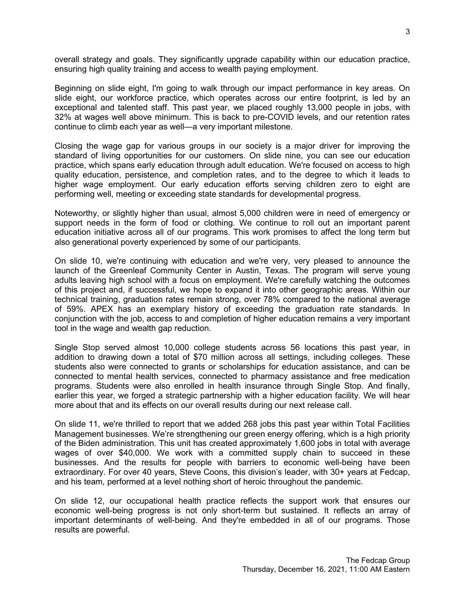overall strategy and goals. They significantly upgrade capability within our education practice, ensuring high quality training and access to wealth paying employment.

Beginning on slide eight, I'm going to walk through our impact performance in key areas. On slide eight, our workforce practice, which operates across our entire footprint, is led by an exceptional and talented staff. This past year, we placed roughly 13,000 people in jobs, with 32% at wages well above minimum. This is back to pre-COVID levels, and our retention rates continue to climb each year as well—a very important milestone.

Closing the wage gap for various groups in our society is a major driver for improving the standard of living opportunities for our customers. On slide nine, you can see our education practice, which spans early education through adult education. We're focused on access to high quality education, persistence, and completion rates, and to the degree to which it leads to higher wage employment. Our early education efforts serving children zero to eight are performing well, meeting or exceeding state standards for developmental progress.

Noteworthy, or slightly higher than usual, almost 5,000 children were in need of emergency or support needs in the form of food or clothing. We continue to roll out an important parent education initiative across all of our programs. This work promises to affect the long term but also generational poverty experienced by some of our participants.

On slide 10, we're continuing with education and we're very, very pleased to announce the launch of the Greenleaf Community Center in Austin, Texas. The program will serve young adults leaving high school with a focus on employment. We're carefully watching the outcomes of this project and, if successful, we hope to expand it into other geographic areas. Within our technical training, graduation rates remain strong, over 78% compared to the national average of 59%. APEX has an exemplary history of exceeding the graduation rate standards. In conjunction with the job, access to and completion of higher education remains a very important tool in the wage and wealth gap reduction.

Single Stop served almost 10,000 college students across 56 locations this past year, in addition to drawing down a total of \$70 million across all settings, including colleges. These students also were connected to grants or scholarships for education assistance, and can be connected to mental health services, connected to pharmacy assistance and free medication programs. Students were also enrolled in health insurance through Single Stop. And finally, earlier this year, we forged a strategic partnership with a higher education facility. We will hear more about that and its effects on our overall results during our next release call.

On slide 11, we're thrilled to report that we added 268 jobs this past year within Total Facilities Management businesses. We're strengthening our green energy offering, which is a high priority of the Biden administration. This unit has created approximately 1,600 jobs in total with average wages of over \$40,000. We work with a committed supply chain to succeed in these businesses. And the results for people with barriers to economic well-being have been extraordinary. For over 40 years, Steve Coons, this division's leader, with 30+ years at Fedcap, and his team, performed at a level nothing short of heroic throughout the pandemic.

On slide 12, our occupational health practice reflects the support work that ensures our economic well-being progress is not only short-term but sustained. It reflects an array of important determinants of well-being. And they're embedded in all of our programs. Those results are powerful.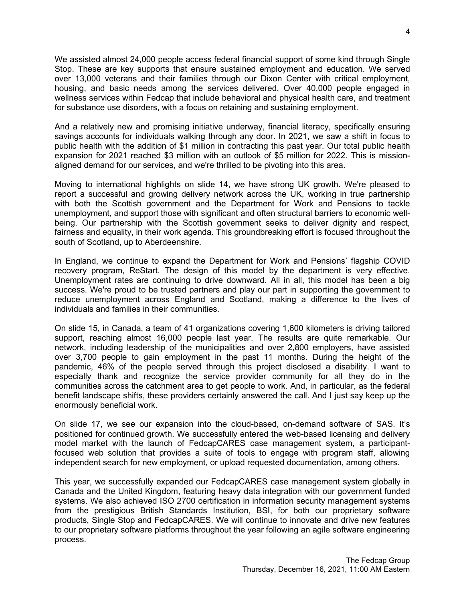We assisted almost 24,000 people access federal financial support of some kind through Single Stop. These are key supports that ensure sustained employment and education. We served over 13,000 veterans and their families through our Dixon Center with critical employment, housing, and basic needs among the services delivered. Over 40,000 people engaged in wellness services within Fedcap that include behavioral and physical health care, and treatment for substance use disorders, with a focus on retaining and sustaining employment.

And a relatively new and promising initiative underway, financial literacy, specifically ensuring savings accounts for individuals walking through any door. In 2021, we saw a shift in focus to public health with the addition of \$1 million in contracting this past year. Our total public health expansion for 2021 reached \$3 million with an outlook of \$5 million for 2022. This is missionaligned demand for our services, and we're thrilled to be pivoting into this area.

Moving to international highlights on slide 14, we have strong UK growth. We're pleased to report a successful and growing delivery network across the UK, working in true partnership with both the Scottish government and the Department for Work and Pensions to tackle unemployment, and support those with significant and often structural barriers to economic wellbeing. Our partnership with the Scottish government seeks to deliver dignity and respect, fairness and equality, in their work agenda. This groundbreaking effort is focused throughout the south of Scotland, up to Aberdeenshire.

In England, we continue to expand the Department for Work and Pensions' flagship COVID recovery program, ReStart. The design of this model by the department is very effective. Unemployment rates are continuing to drive downward. All in all, this model has been a big success. We're proud to be trusted partners and play our part in supporting the government to reduce unemployment across England and Scotland, making a difference to the lives of individuals and families in their communities.

On slide 15, in Canada, a team of 41 organizations covering 1,600 kilometers is driving tailored support, reaching almost 16,000 people last year. The results are quite remarkable. Our network, including leadership of the municipalities and over 2,800 employers, have assisted over 3,700 people to gain employment in the past 11 months. During the height of the pandemic, 46% of the people served through this project disclosed a disability. I want to especially thank and recognize the service provider community for all they do in the communities across the catchment area to get people to work. And, in particular, as the federal benefit landscape shifts, these providers certainly answered the call. And I just say keep up the enormously beneficial work.

On slide 17, we see our expansion into the cloud-based, on-demand software of SAS. It's positioned for continued growth. We successfully entered the web-based licensing and delivery model market with the launch of FedcapCARES case management system, a participantfocused web solution that provides a suite of tools to engage with program staff, allowing independent search for new employment, or upload requested documentation, among others.

This year, we successfully expanded our FedcapCARES case management system globally in Canada and the United Kingdom, featuring heavy data integration with our government funded systems. We also achieved ISO 2700 certification in information security management systems from the prestigious British Standards Institution, BSI, for both our proprietary software products, Single Stop and FedcapCARES. We will continue to innovate and drive new features to our proprietary software platforms throughout the year following an agile software engineering process.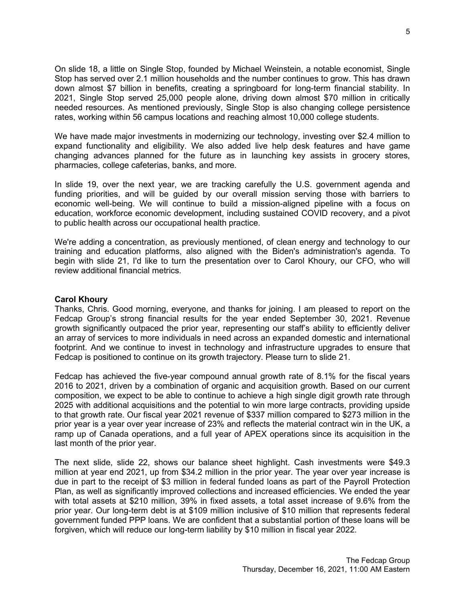On slide 18, a little on Single Stop, founded by Michael Weinstein, a notable economist, Single Stop has served over 2.1 million households and the number continues to grow. This has drawn down almost \$7 billion in benefits, creating a springboard for long-term financial stability. In 2021, Single Stop served 25,000 people alone, driving down almost \$70 million in critically needed resources. As mentioned previously, Single Stop is also changing college persistence rates, working within 56 campus locations and reaching almost 10,000 college students.

We have made major investments in modernizing our technology, investing over \$2.4 million to expand functionality and eligibility. We also added live help desk features and have game changing advances planned for the future as in launching key assists in grocery stores, pharmacies, college cafeterias, banks, and more.

In slide 19, over the next year, we are tracking carefully the U.S. government agenda and funding priorities, and will be guided by our overall mission serving those with barriers to economic well-being. We will continue to build a mission-aligned pipeline with a focus on education, workforce economic development, including sustained COVID recovery, and a pivot to public health across our occupational health practice.

We're adding a concentration, as previously mentioned, of clean energy and technology to our training and education platforms, also aligned with the Biden's administration's agenda. To begin with slide 21, I'd like to turn the presentation over to Carol Khoury, our CFO, who will review additional financial metrics.

### **Carol Khoury**

Thanks, Chris. Good morning, everyone, and thanks for joining. I am pleased to report on the Fedcap Group's strong financial results for the year ended September 30, 2021. Revenue growth significantly outpaced the prior year, representing our staff's ability to efficiently deliver an array of services to more individuals in need across an expanded domestic and international footprint. And we continue to invest in technology and infrastructure upgrades to ensure that Fedcap is positioned to continue on its growth trajectory. Please turn to slide 21.

Fedcap has achieved the five-year compound annual growth rate of 8.1% for the fiscal years 2016 to 2021, driven by a combination of organic and acquisition growth. Based on our current composition, we expect to be able to continue to achieve a high single digit growth rate through 2025 with additional acquisitions and the potential to win more large contracts, providing upside to that growth rate. Our fiscal year 2021 revenue of \$337 million compared to \$273 million in the prior year is a year over year increase of 23% and reflects the material contract win in the UK, a ramp up of Canada operations, and a full year of APEX operations since its acquisition in the last month of the prior year.

The next slide, slide 22, shows our balance sheet highlight. Cash investments were \$49.3 million at year end 2021, up from \$34.2 million in the prior year. The year over year increase is due in part to the receipt of \$3 million in federal funded loans as part of the Payroll Protection Plan, as well as significantly improved collections and increased efficiencies. We ended the year with total assets at \$210 million, 39% in fixed assets, a total asset increase of 9.6% from the prior year. Our long-term debt is at \$109 million inclusive of \$10 million that represents federal government funded PPP loans. We are confident that a substantial portion of these loans will be forgiven, which will reduce our long-term liability by \$10 million in fiscal year 2022.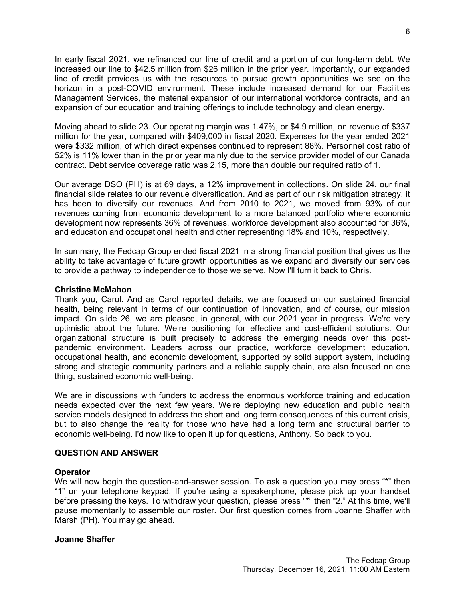In early fiscal 2021, we refinanced our line of credit and a portion of our long-term debt. We increased our line to \$42.5 million from \$26 million in the prior year. Importantly, our expanded line of credit provides us with the resources to pursue growth opportunities we see on the horizon in a post-COVID environment. These include increased demand for our Facilities Management Services, the material expansion of our international workforce contracts, and an expansion of our education and training offerings to include technology and clean energy.

Moving ahead to slide 23. Our operating margin was 1.47%, or \$4.9 million, on revenue of \$337 million for the year, compared with \$409,000 in fiscal 2020. Expenses for the year ended 2021 were \$332 million, of which direct expenses continued to represent 88%. Personnel cost ratio of 52% is 11% lower than in the prior year mainly due to the service provider model of our Canada contract. Debt service coverage ratio was 2.15, more than double our required ratio of 1.

Our average DSO (PH) is at 69 days, a 12% improvement in collections. On slide 24, our final financial slide relates to our revenue diversification. And as part of our risk mitigation strategy, it has been to diversify our revenues. And from 2010 to 2021, we moved from 93% of our revenues coming from economic development to a more balanced portfolio where economic development now represents 36% of revenues, workforce development also accounted for 36%, and education and occupational health and other representing 18% and 10%, respectively.

In summary, the Fedcap Group ended fiscal 2021 in a strong financial position that gives us the ability to take advantage of future growth opportunities as we expand and diversify our services to provide a pathway to independence to those we serve. Now I'll turn it back to Chris.

### **Christine McMahon**

Thank you, Carol. And as Carol reported details, we are focused on our sustained financial health, being relevant in terms of our continuation of innovation, and of course, our mission impact. On slide 26, we are pleased, in general, with our 2021 year in progress. We're very optimistic about the future. We're positioning for effective and cost-efficient solutions. Our organizational structure is built precisely to address the emerging needs over this postpandemic environment. Leaders across our practice, workforce development education, occupational health, and economic development, supported by solid support system, including strong and strategic community partners and a reliable supply chain, are also focused on one thing, sustained economic well-being.

We are in discussions with funders to address the enormous workforce training and education needs expected over the next few years. We're deploying new education and public health service models designed to address the short and long term consequences of this current crisis, but to also change the reality for those who have had a long term and structural barrier to economic well-being. I'd now like to open it up for questions, Anthony. So back to you.

# **QUESTION AND ANSWER**

# **Operator**

We will now begin the question-and-answer session. To ask a question you may press "\*" then "1" on your telephone keypad. If you're using a speakerphone, please pick up your handset before pressing the keys. To withdraw your question, please press "\*" then "2." At this time, we'll pause momentarily to assemble our roster. Our first question comes from Joanne Shaffer with Marsh (PH). You may go ahead.

# **Joanne Shaffer**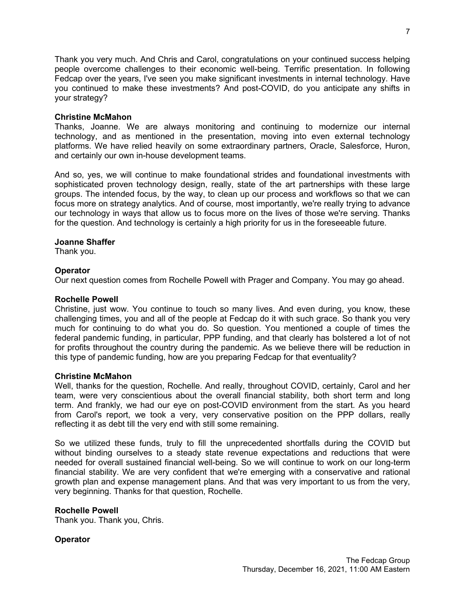Thank you very much. And Chris and Carol, congratulations on your continued success helping people overcome challenges to their economic well-being. Terrific presentation. In following Fedcap over the years, I've seen you make significant investments in internal technology. Have you continued to make these investments? And post-COVID, do you anticipate any shifts in your strategy?

#### **Christine McMahon**

Thanks, Joanne. We are always monitoring and continuing to modernize our internal technology, and as mentioned in the presentation, moving into even external technology platforms. We have relied heavily on some extraordinary partners, Oracle, Salesforce, Huron, and certainly our own in-house development teams.

And so, yes, we will continue to make foundational strides and foundational investments with sophisticated proven technology design, really, state of the art partnerships with these large groups. The intended focus, by the way, to clean up our process and workflows so that we can focus more on strategy analytics. And of course, most importantly, we're really trying to advance our technology in ways that allow us to focus more on the lives of those we're serving. Thanks for the question. And technology is certainly a high priority for us in the foreseeable future.

### **Joanne Shaffer**

Thank you.

### **Operator**

Our next question comes from Rochelle Powell with Prager and Company. You may go ahead.

#### **Rochelle Powell**

Christine, just wow. You continue to touch so many lives. And even during, you know, these challenging times, you and all of the people at Fedcap do it with such grace. So thank you very much for continuing to do what you do. So question. You mentioned a couple of times the federal pandemic funding, in particular, PPP funding, and that clearly has bolstered a lot of not for profits throughout the country during the pandemic. As we believe there will be reduction in this type of pandemic funding, how are you preparing Fedcap for that eventuality?

#### **Christine McMahon**

Well, thanks for the question, Rochelle. And really, throughout COVID, certainly, Carol and her team, were very conscientious about the overall financial stability, both short term and long term. And frankly, we had our eye on post-COVID environment from the start. As you heard from Carol's report, we took a very, very conservative position on the PPP dollars, really reflecting it as debt till the very end with still some remaining.

So we utilized these funds, truly to fill the unprecedented shortfalls during the COVID but without binding ourselves to a steady state revenue expectations and reductions that were needed for overall sustained financial well-being. So we will continue to work on our long-term financial stability. We are very confident that we're emerging with a conservative and rational growth plan and expense management plans. And that was very important to us from the very, very beginning. Thanks for that question, Rochelle.

# **Rochelle Powell**

Thank you. Thank you, Chris.

# **Operator**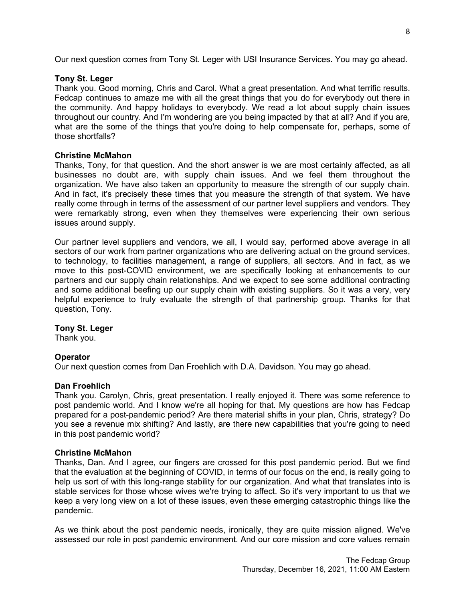Our next question comes from Tony St. Leger with USI Insurance Services. You may go ahead.

#### **Tony St. Leger**

Thank you. Good morning, Chris and Carol. What a great presentation. And what terrific results. Fedcap continues to amaze me with all the great things that you do for everybody out there in the community. And happy holidays to everybody. We read a lot about supply chain issues throughout our country. And I'm wondering are you being impacted by that at all? And if you are, what are the some of the things that you're doing to help compensate for, perhaps, some of those shortfalls?

# **Christine McMahon**

Thanks, Tony, for that question. And the short answer is we are most certainly affected, as all businesses no doubt are, with supply chain issues. And we feel them throughout the organization. We have also taken an opportunity to measure the strength of our supply chain. And in fact, it's precisely these times that you measure the strength of that system. We have really come through in terms of the assessment of our partner level suppliers and vendors. They were remarkably strong, even when they themselves were experiencing their own serious issues around supply.

Our partner level suppliers and vendors, we all, I would say, performed above average in all sectors of our work from partner organizations who are delivering actual on the ground services, to technology, to facilities management, a range of suppliers, all sectors. And in fact, as we move to this post-COVID environment, we are specifically looking at enhancements to our partners and our supply chain relationships. And we expect to see some additional contracting and some additional beefing up our supply chain with existing suppliers. So it was a very, very helpful experience to truly evaluate the strength of that partnership group. Thanks for that question, Tony.

# **Tony St. Leger**

Thank you.

# **Operator**

Our next question comes from Dan Froehlich with D.A. Davidson. You may go ahead.

# **Dan Froehlich**

Thank you. Carolyn, Chris, great presentation. I really enjoyed it. There was some reference to post pandemic world. And I know we're all hoping for that. My questions are how has Fedcap prepared for a post-pandemic period? Are there material shifts in your plan, Chris, strategy? Do you see a revenue mix shifting? And lastly, are there new capabilities that you're going to need in this post pandemic world?

# **Christine McMahon**

Thanks, Dan. And I agree, our fingers are crossed for this post pandemic period. But we find that the evaluation at the beginning of COVID, in terms of our focus on the end, is really going to help us sort of with this long-range stability for our organization. And what that translates into is stable services for those whose wives we're trying to affect. So it's very important to us that we keep a very long view on a lot of these issues, even these emerging catastrophic things like the pandemic.

As we think about the post pandemic needs, ironically, they are quite mission aligned. We've assessed our role in post pandemic environment. And our core mission and core values remain